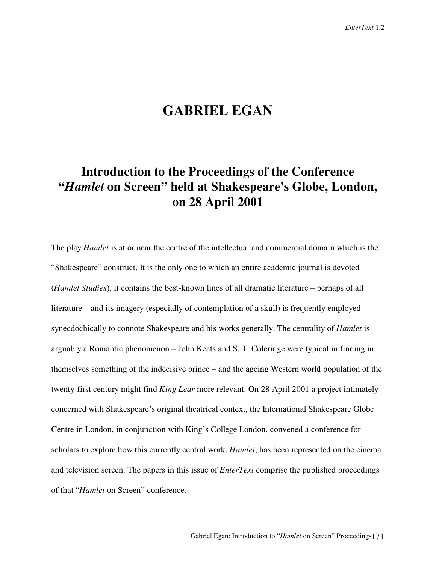## **GABRIEL EGAN**

## **Introduction to the Proceedings of the Conference "***Hamlet* **on Screen" held at Shakespeare's Globe, London, on 28 April 2001**

The play *Hamlet* is at or near the centre of the intellectual and commercial domain which is the "Shakespeare" construct. It is the only one to which an entire academic journal is devoted (*Hamlet Studies*), it contains the best-known lines of all dramatic literature – perhaps of all literature – and its imagery (especially of contemplation of a skull) is frequently employed synecdochically to connote Shakespeare and his works generally. The centrality of *Hamlet* is arguably a Romantic phenomenon – John Keats and S. T. Coleridge were typical in finding in themselves something of the indecisive prince – and the ageing Western world population of the twenty-first century might find *King Lear* more relevant. On 28 April 2001 a project intimately concerned with Shakespeare's original theatrical context, the International Shakespeare Globe Centre in London, in conjunction with King's College London, convened a conference for scholars to explore how this currently central work, *Hamlet*, has been represented on the cinema and television screen. The papers in this issue of *EnterText* comprise the published proceedings of that "*Hamlet* on Screen" conference.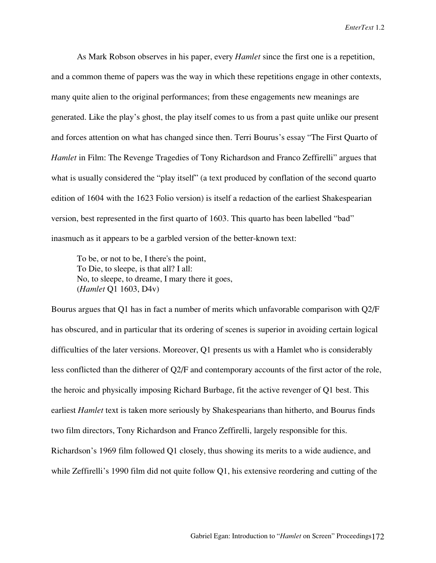As Mark Robson observes in his paper, every *Hamlet* since the first one is a repetition, and a common theme of papers was the way in which these repetitions engage in other contexts, many quite alien to the original performances; from these engagements new meanings are generated. Like the play's ghost, the play itself comes to us from a past quite unlike our present and forces attention on what has changed since then. Terri Bourus's essay "The First Quarto of *Hamlet* in Film: The Revenge Tragedies of Tony Richardson and Franco Zeffirelli" argues that what is usually considered the "play itself" (a text produced by conflation of the second quarto edition of 1604 with the 1623 Folio version) is itself a redaction of the earliest Shakespearian version, best represented in the first quarto of 1603. This quarto has been labelled "bad" inasmuch as it appears to be a garbled version of the better-known text:

To be, or not to be, I there's the point, To Die, to sleepe, is that all? I all: No, to sleepe, to dreame, I mary there it goes, (*Hamlet* Q1 1603, D4v)

Bourus argues that Q1 has in fact a number of merits which unfavorable comparison with Q2/F has obscured, and in particular that its ordering of scenes is superior in avoiding certain logical difficulties of the later versions. Moreover, Q1 presents us with a Hamlet who is considerably less conflicted than the ditherer of Q2/F and contemporary accounts of the first actor of the role, the heroic and physically imposing Richard Burbage, fit the active revenger of Q1 best. This earliest *Hamlet* text is taken more seriously by Shakespearians than hitherto, and Bourus finds two film directors, Tony Richardson and Franco Zeffirelli, largely responsible for this. Richardson's 1969 film followed Q1 closely, thus showing its merits to a wide audience, and while Zeffirelli's 1990 film did not quite follow Q1, his extensive reordering and cutting of the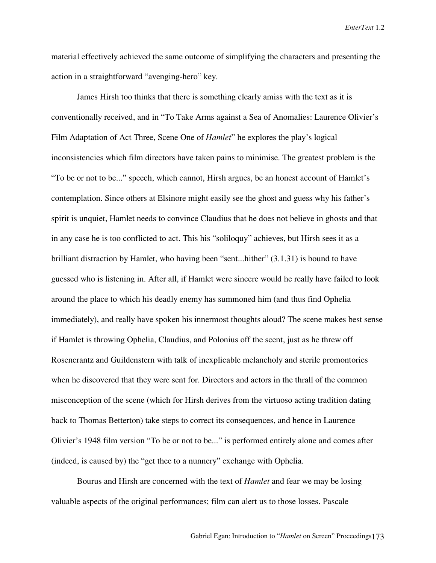material effectively achieved the same outcome of simplifying the characters and presenting the action in a straightforward "avenging-hero" key.

James Hirsh too thinks that there is something clearly amiss with the text as it is conventionally received, and in "To Take Arms against a Sea of Anomalies: Laurence Olivier's Film Adaptation of Act Three, Scene One of *Hamlet*" he explores the play's logical inconsistencies which film directors have taken pains to minimise. The greatest problem is the "To be or not to be..." speech, which cannot, Hirsh argues, be an honest account of Hamlet's contemplation. Since others at Elsinore might easily see the ghost and guess why his father's spirit is unquiet, Hamlet needs to convince Claudius that he does not believe in ghosts and that in any case he is too conflicted to act. This his "soliloquy" achieves, but Hirsh sees it as a brilliant distraction by Hamlet, who having been "sent...hither" (3.1.31) is bound to have guessed who is listening in. After all, if Hamlet were sincere would he really have failed to look around the place to which his deadly enemy has summoned him (and thus find Ophelia immediately), and really have spoken his innermost thoughts aloud? The scene makes best sense if Hamlet is throwing Ophelia, Claudius, and Polonius off the scent, just as he threw off Rosencrantz and Guildenstern with talk of inexplicable melancholy and sterile promontories when he discovered that they were sent for. Directors and actors in the thrall of the common misconception of the scene (which for Hirsh derives from the virtuoso acting tradition dating back to Thomas Betterton) take steps to correct its consequences, and hence in Laurence Olivier's 1948 film version "To be or not to be..." is performed entirely alone and comes after (indeed, is caused by) the "get thee to a nunnery" exchange with Ophelia.

Bourus and Hirsh are concerned with the text of *Hamlet* and fear we may be losing valuable aspects of the original performances; film can alert us to those losses. Pascale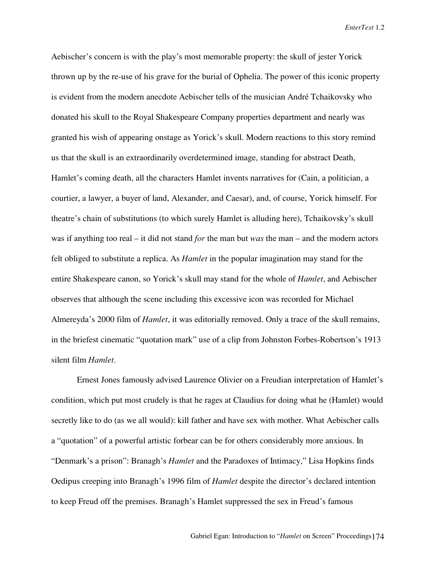Aebischer's concern is with the play's most memorable property: the skull of jester Yorick thrown up by the re-use of his grave for the burial of Ophelia. The power of this iconic property is evident from the modern anecdote Aebischer tells of the musician André Tchaikovsky who donated his skull to the Royal Shakespeare Company properties department and nearly was granted his wish of appearing onstage as Yorick's skull. Modern reactions to this story remind us that the skull is an extraordinarily overdetermined image, standing for abstract Death, Hamlet's coming death, all the characters Hamlet invents narratives for (Cain, a politician, a courtier, a lawyer, a buyer of land, Alexander, and Caesar), and, of course, Yorick himself. For theatre's chain of substitutions (to which surely Hamlet is alluding here), Tchaikovsky's skull was if anything too real – it did not stand *for* the man but *was* the man – and the modern actors felt obliged to substitute a replica. As *Hamlet* in the popular imagination may stand for the entire Shakespeare canon, so Yorick's skull may stand for the whole of *Hamlet*, and Aebischer observes that although the scene including this excessive icon was recorded for Michael Almereyda's 2000 film of *Hamlet*, it was editorially removed. Only a trace of the skull remains, in the briefest cinematic "quotation mark" use of a clip from Johnston Forbes-Robertson's 1913 silent film *Hamlet*.

Ernest Jones famously advised Laurence Olivier on a Freudian interpretation of Hamlet's condition, which put most crudely is that he rages at Claudius for doing what he (Hamlet) would secretly like to do (as we all would): kill father and have sex with mother. What Aebischer calls a "quotation" of a powerful artistic forbear can be for others considerably more anxious. In "Denmark's a prison": Branagh's *Hamlet* and the Paradoxes of Intimacy," Lisa Hopkins finds Oedipus creeping into Branagh's 1996 film of *Hamlet* despite the director's declared intention to keep Freud off the premises. Branagh's Hamlet suppressed the sex in Freud's famous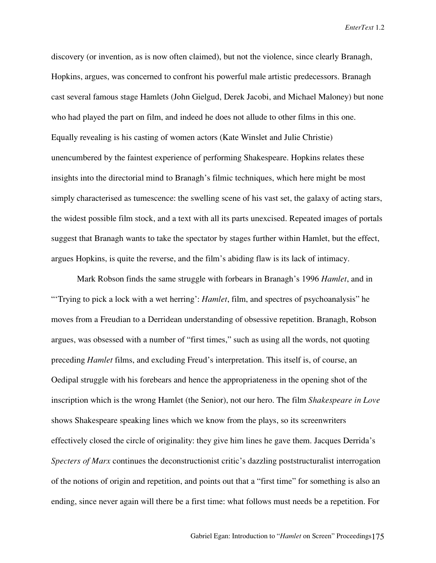discovery (or invention, as is now often claimed), but not the violence, since clearly Branagh, Hopkins, argues, was concerned to confront his powerful male artistic predecessors. Branagh cast several famous stage Hamlets (John Gielgud, Derek Jacobi, and Michael Maloney) but none who had played the part on film, and indeed he does not allude to other films in this one. Equally revealing is his casting of women actors (Kate Winslet and Julie Christie) unencumbered by the faintest experience of performing Shakespeare. Hopkins relates these insights into the directorial mind to Branagh's filmic techniques, which here might be most simply characterised as tumescence: the swelling scene of his vast set, the galaxy of acting stars, the widest possible film stock, and a text with all its parts unexcised. Repeated images of portals suggest that Branagh wants to take the spectator by stages further within Hamlet, but the effect, argues Hopkins, is quite the reverse, and the film's abiding flaw is its lack of intimacy.

Mark Robson finds the same struggle with forbears in Branagh's 1996 *Hamlet*, and in "'Trying to pick a lock with a wet herring': *Hamlet*, film, and spectres of psychoanalysis" he moves from a Freudian to a Derridean understanding of obsessive repetition. Branagh, Robson argues, was obsessed with a number of "first times," such as using all the words, not quoting preceding *Hamlet* films, and excluding Freud's interpretation. This itself is, of course, an Oedipal struggle with his forebears and hence the appropriateness in the opening shot of the inscription which is the wrong Hamlet (the Senior), not our hero. The film *Shakespeare in Love* shows Shakespeare speaking lines which we know from the plays, so its screenwriters effectively closed the circle of originality: they give him lines he gave them. Jacques Derrida's *Specters of Marx* continues the deconstructionist critic's dazzling poststructuralist interrogation of the notions of origin and repetition, and points out that a "first time" for something is also an ending, since never again will there be a first time: what follows must needs be a repetition. For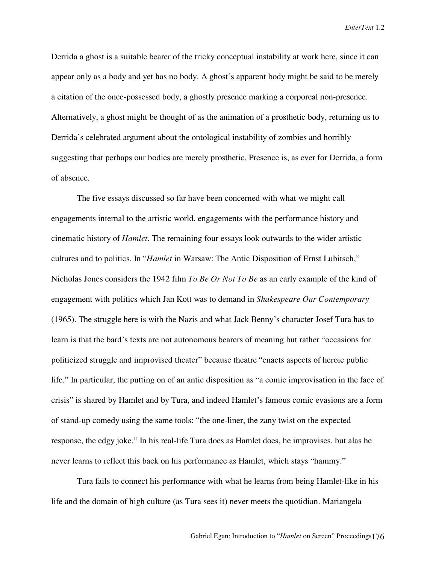Derrida a ghost is a suitable bearer of the tricky conceptual instability at work here, since it can appear only as a body and yet has no body. A ghost's apparent body might be said to be merely a citation of the once-possessed body, a ghostly presence marking a corporeal non-presence. Alternatively, a ghost might be thought of as the animation of a prosthetic body, returning us to Derrida's celebrated argument about the ontological instability of zombies and horribly suggesting that perhaps our bodies are merely prosthetic. Presence is, as ever for Derrida, a form of absence.

The five essays discussed so far have been concerned with what we might call engagements internal to the artistic world, engagements with the performance history and cinematic history of *Hamlet*. The remaining four essays look outwards to the wider artistic cultures and to politics. In "*Hamlet* in Warsaw: The Antic Disposition of Ernst Lubitsch," Nicholas Jones considers the 1942 film *To Be Or Not To Be* as an early example of the kind of engagement with politics which Jan Kott was to demand in *Shakespeare Our Contemporary* (1965). The struggle here is with the Nazis and what Jack Benny's character Josef Tura has to learn is that the bard's texts are not autonomous bearers of meaning but rather "occasions for politicized struggle and improvised theater" because theatre "enacts aspects of heroic public life." In particular, the putting on of an antic disposition as "a comic improvisation in the face of crisis" is shared by Hamlet and by Tura, and indeed Hamlet's famous comic evasions are a form of stand-up comedy using the same tools: "the one-liner, the zany twist on the expected response, the edgy joke." In his real-life Tura does as Hamlet does, he improvises, but alas he never learns to reflect this back on his performance as Hamlet, which stays "hammy."

Tura fails to connect his performance with what he learns from being Hamlet-like in his life and the domain of high culture (as Tura sees it) never meets the quotidian. Mariangela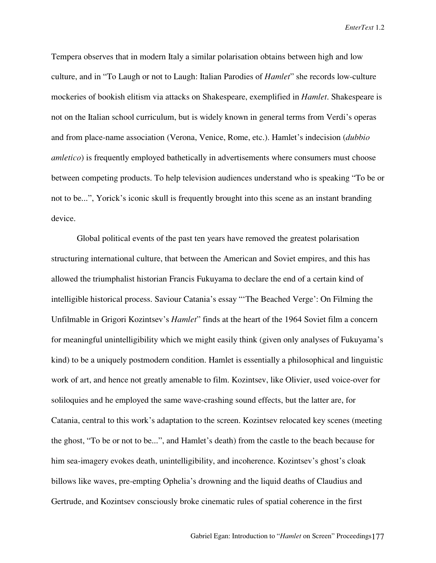Tempera observes that in modern Italy a similar polarisation obtains between high and low culture, and in "To Laugh or not to Laugh: Italian Parodies of *Hamlet*" she records low-culture mockeries of bookish elitism via attacks on Shakespeare, exemplified in *Hamlet*. Shakespeare is not on the Italian school curriculum, but is widely known in general terms from Verdi's operas and from place-name association (Verona, Venice, Rome, etc.). Hamlet's indecision (*dubbio amletico*) is frequently employed bathetically in advertisements where consumers must choose between competing products. To help television audiences understand who is speaking "To be or not to be...", Yorick's iconic skull is frequently brought into this scene as an instant branding device.

Global political events of the past ten years have removed the greatest polarisation structuring international culture, that between the American and Soviet empires, and this has allowed the triumphalist historian Francis Fukuyama to declare the end of a certain kind of intelligible historical process. Saviour Catania's essay "'The Beached Verge': On Filming the Unfilmable in Grigori Kozintsev's *Hamlet*" finds at the heart of the 1964 Soviet film a concern for meaningful unintelligibility which we might easily think (given only analyses of Fukuyama's kind) to be a uniquely postmodern condition. Hamlet is essentially a philosophical and linguistic work of art, and hence not greatly amenable to film. Kozintsev, like Olivier, used voice-over for soliloquies and he employed the same wave-crashing sound effects, but the latter are, for Catania, central to this work's adaptation to the screen. Kozintsev relocated key scenes (meeting the ghost, "To be or not to be...", and Hamlet's death) from the castle to the beach because for him sea-imagery evokes death, unintelligibility, and incoherence. Kozintsev's ghost's cloak billows like waves, pre-empting Ophelia's drowning and the liquid deaths of Claudius and Gertrude, and Kozintsev consciously broke cinematic rules of spatial coherence in the first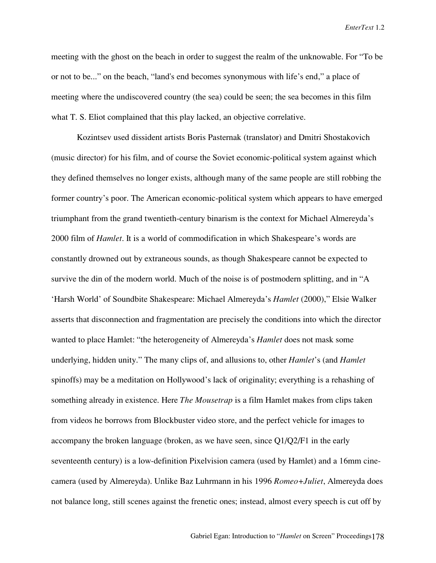meeting with the ghost on the beach in order to suggest the realm of the unknowable. For "To be or not to be..." on the beach, "land's end becomes synonymous with life's end," a place of meeting where the undiscovered country (the sea) could be seen; the sea becomes in this film what T. S. Eliot complained that this play lacked, an objective correlative.

Kozintsev used dissident artists Boris Pasternak (translator) and Dmitri Shostakovich (music director) for his film, and of course the Soviet economic-political system against which they defined themselves no longer exists, although many of the same people are still robbing the former country's poor. The American economic-political system which appears to have emerged triumphant from the grand twentieth-century binarism is the context for Michael Almereyda's 2000 film of *Hamlet*. It is a world of commodification in which Shakespeare's words are constantly drowned out by extraneous sounds, as though Shakespeare cannot be expected to survive the din of the modern world. Much of the noise is of postmodern splitting, and in "A 'Harsh World' of Soundbite Shakespeare: Michael Almereyda's *Hamlet* (2000)," Elsie Walker asserts that disconnection and fragmentation are precisely the conditions into which the director wanted to place Hamlet: "the heterogeneity of Almereyda's *Hamlet* does not mask some underlying, hidden unity." The many clips of, and allusions to, other *Hamlet*'s (and *Hamlet* spinoffs) may be a meditation on Hollywood's lack of originality; everything is a rehashing of something already in existence. Here *The Mousetrap* is a film Hamlet makes from clips taken from videos he borrows from Blockbuster video store, and the perfect vehicle for images to accompany the broken language (broken, as we have seen, since  $Q1/Q2/F1$  in the early seventeenth century) is a low-definition Pixelvision camera (used by Hamlet) and a 16mm cinecamera (used by Almereyda). Unlike Baz Luhrmann in his 1996 *Romeo+Juliet*, Almereyda does not balance long, still scenes against the frenetic ones; instead, almost every speech is cut off by